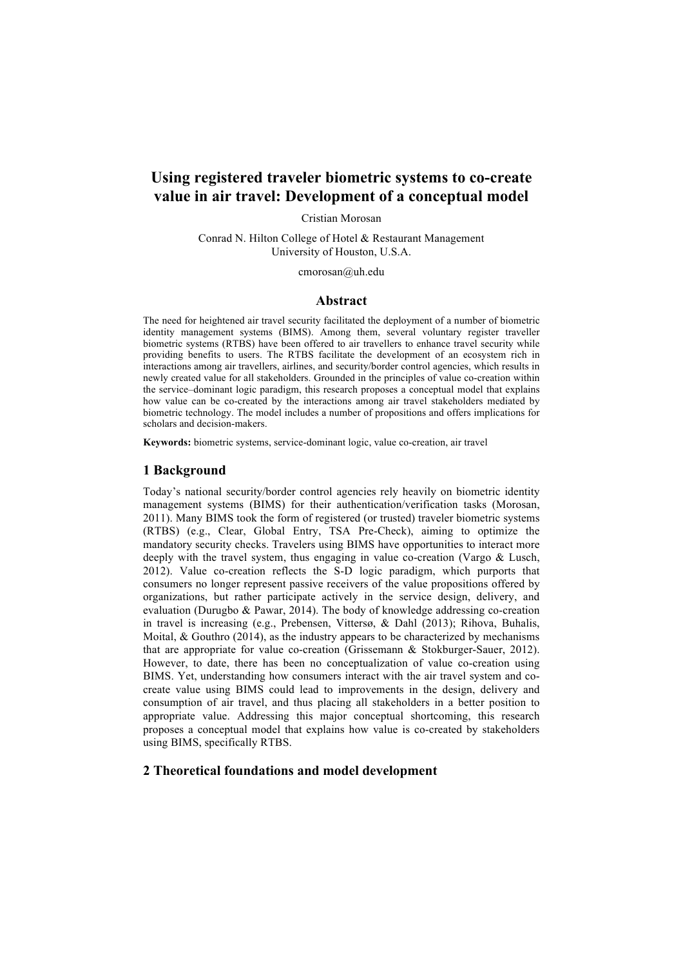# **Using registered traveler biometric systems to co-create value in air travel: Development of a conceptual model**

Cristian Morosan

Conrad N. Hilton College of Hotel & Restaurant Management University of Houston, U.S.A.

cmorosan@uh.edu

# **Abstract**

The need for heightened air travel security facilitated the deployment of a number of biometric identity management systems (BIMS). Among them, several voluntary register traveller biometric systems (RTBS) have been offered to air travellers to enhance travel security while providing benefits to users. The RTBS facilitate the development of an ecosystem rich in interactions among air travellers, airlines, and security/border control agencies, which results in newly created value for all stakeholders. Grounded in the principles of value co-creation within the service–dominant logic paradigm, this research proposes a conceptual model that explains how value can be co-created by the interactions among air travel stakeholders mediated by biometric technology. The model includes a number of propositions and offers implications for scholars and decision-makers.

**Keywords:** biometric systems, service-dominant logic, value co-creation, air travel

# **1 Background**

Today's national security/border control agencies rely heavily on biometric identity management systems (BIMS) for their authentication/verification tasks (Morosan, 2011). Many BIMS took the form of registered (or trusted) traveler biometric systems (RTBS) (e.g., Clear, Global Entry, TSA Pre-Check), aiming to optimize the mandatory security checks. Travelers using BIMS have opportunities to interact more deeply with the travel system, thus engaging in value co-creation (Vargo & Lusch, 2012). Value co-creation reflects the S-D logic paradigm, which purports that consumers no longer represent passive receivers of the value propositions offered by organizations, but rather participate actively in the service design, delivery, and evaluation (Durugbo & Pawar, 2014). The body of knowledge addressing co-creation in travel is increasing (e.g., Prebensen, Vittersø, & Dahl (2013); Rihova, Buhalis, Moital, & Gouthro (2014), as the industry appears to be characterized by mechanisms that are appropriate for value co-creation (Grissemann & Stokburger-Sauer, 2012). However, to date, there has been no conceptualization of value co-creation using BIMS. Yet, understanding how consumers interact with the air travel system and cocreate value using BIMS could lead to improvements in the design, delivery and consumption of air travel, and thus placing all stakeholders in a better position to appropriate value. Addressing this major conceptual shortcoming, this research proposes a conceptual model that explains how value is co-created by stakeholders using BIMS, specifically RTBS.

# **2 Theoretical foundations and model development**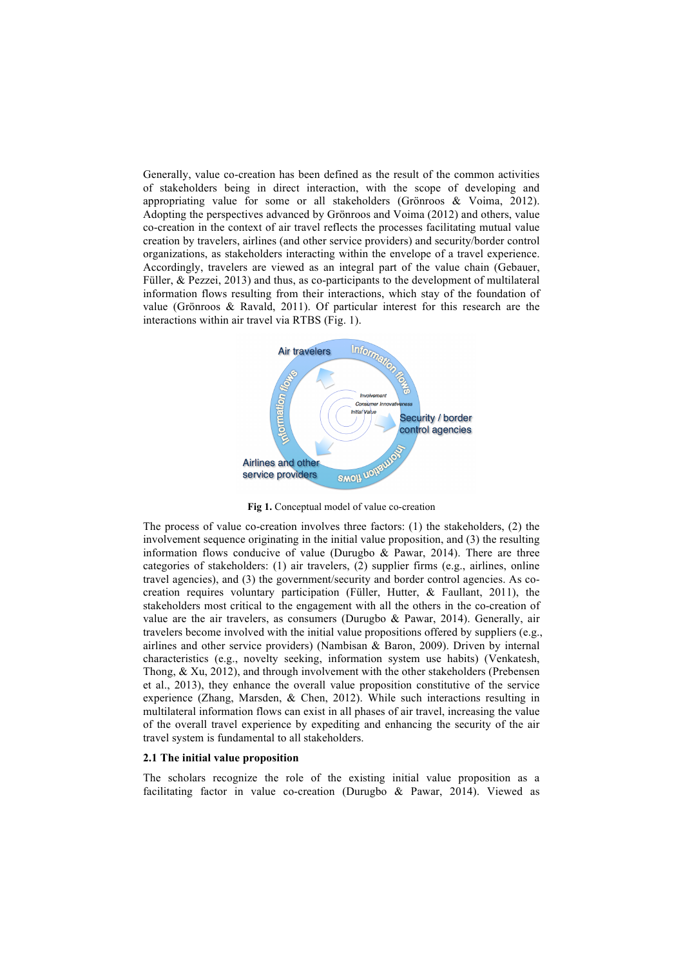Generally, value co-creation has been defined as the result of the common activities of stakeholders being in direct interaction, with the scope of developing and appropriating value for some or all stakeholders (Grönroos & Voima, 2012). Adopting the perspectives advanced by Grönroos and Voima (2012) and others, value co-creation in the context of air travel reflects the processes facilitating mutual value creation by travelers, airlines (and other service providers) and security/border control organizations, as stakeholders interacting within the envelope of a travel experience. Accordingly, travelers are viewed as an integral part of the value chain (Gebauer, Füller, & Pezzei, 2013) and thus, as co-participants to the development of multilateral information flows resulting from their interactions, which stay of the foundation of value (Grönroos & Ravald, 2011). Of particular interest for this research are the interactions within air travel via RTBS (Fig. 1).



**Fig 1.** Conceptual model of value co-creation

The process of value co-creation involves three factors: (1) the stakeholders, (2) the involvement sequence originating in the initial value proposition, and (3) the resulting information flows conducive of value (Durugbo  $\&$  Pawar, 2014). There are three categories of stakeholders: (1) air travelers, (2) supplier firms (e.g., airlines, online travel agencies), and (3) the government/security and border control agencies. As cocreation requires voluntary participation (Füller, Hutter, & Faullant, 2011), the stakeholders most critical to the engagement with all the others in the co-creation of value are the air travelers, as consumers (Durugbo & Pawar, 2014). Generally, air travelers become involved with the initial value propositions offered by suppliers (e.g., airlines and other service providers) (Nambisan & Baron, 2009). Driven by internal characteristics (e.g., novelty seeking, information system use habits) (Venkatesh, Thong, & Xu, 2012), and through involvement with the other stakeholders (Prebensen et al., 2013), they enhance the overall value proposition constitutive of the service experience (Zhang, Marsden, & Chen, 2012). While such interactions resulting in multilateral information flows can exist in all phases of air travel, increasing the value of the overall travel experience by expediting and enhancing the security of the air travel system is fundamental to all stakeholders.

#### **2.1 The initial value proposition**

The scholars recognize the role of the existing initial value proposition as a facilitating factor in value co-creation (Durugbo & Pawar, 2014). Viewed as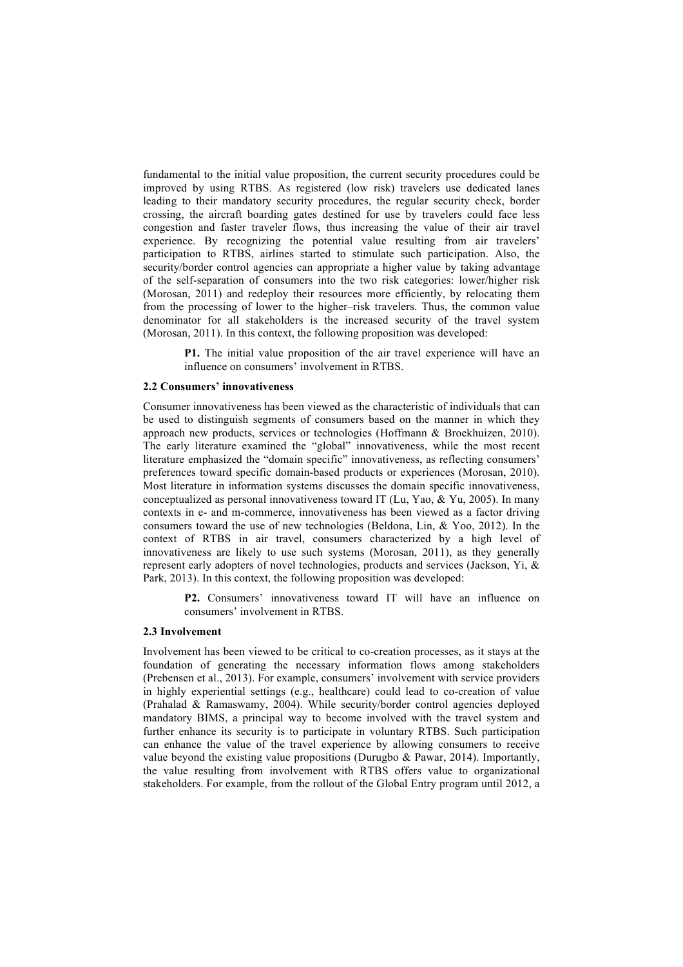fundamental to the initial value proposition, the current security procedures could be improved by using RTBS. As registered (low risk) travelers use dedicated lanes leading to their mandatory security procedures, the regular security check, border crossing, the aircraft boarding gates destined for use by travelers could face less congestion and faster traveler flows, thus increasing the value of their air travel experience. By recognizing the potential value resulting from air travelers' participation to RTBS, airlines started to stimulate such participation. Also, the security/border control agencies can appropriate a higher value by taking advantage of the self-separation of consumers into the two risk categories: lower/higher risk (Morosan, 2011) and redeploy their resources more efficiently, by relocating them from the processing of lower to the higher–risk travelers. Thus, the common value denominator for all stakeholders is the increased security of the travel system (Morosan, 2011). In this context, the following proposition was developed:

> **P1.** The initial value proposition of the air travel experience will have an influence on consumers' involvement in RTBS.

#### **2.2 Consumers' innovativeness**

Consumer innovativeness has been viewed as the characteristic of individuals that can be used to distinguish segments of consumers based on the manner in which they approach new products, services or technologies (Hoffmann & Broekhuizen, 2010). The early literature examined the "global" innovativeness, while the most recent literature emphasized the "domain specific" innovativeness, as reflecting consumers' preferences toward specific domain-based products or experiences (Morosan, 2010). Most literature in information systems discusses the domain specific innovativeness, conceptualized as personal innovativeness toward IT (Lu, Yao, & Yu, 2005). In many contexts in e- and m-commerce, innovativeness has been viewed as a factor driving consumers toward the use of new technologies (Beldona, Lin,  $\&$  Yoo, 2012). In the context of RTBS in air travel, consumers characterized by a high level of innovativeness are likely to use such systems (Morosan, 2011), as they generally represent early adopters of novel technologies, products and services (Jackson, Yi, & Park, 2013). In this context, the following proposition was developed:

**P2.** Consumers' innovativeness toward IT will have an influence on consumers' involvement in RTBS.

#### **2.3 Involvement**

Involvement has been viewed to be critical to co-creation processes, as it stays at the foundation of generating the necessary information flows among stakeholders (Prebensen et al., 2013). For example, consumers' involvement with service providers in highly experiential settings (e.g., healthcare) could lead to co-creation of value (Prahalad & Ramaswamy, 2004). While security/border control agencies deployed mandatory BIMS, a principal way to become involved with the travel system and further enhance its security is to participate in voluntary RTBS. Such participation can enhance the value of the travel experience by allowing consumers to receive value beyond the existing value propositions (Durugbo & Pawar, 2014). Importantly, the value resulting from involvement with RTBS offers value to organizational stakeholders. For example, from the rollout of the Global Entry program until 2012, a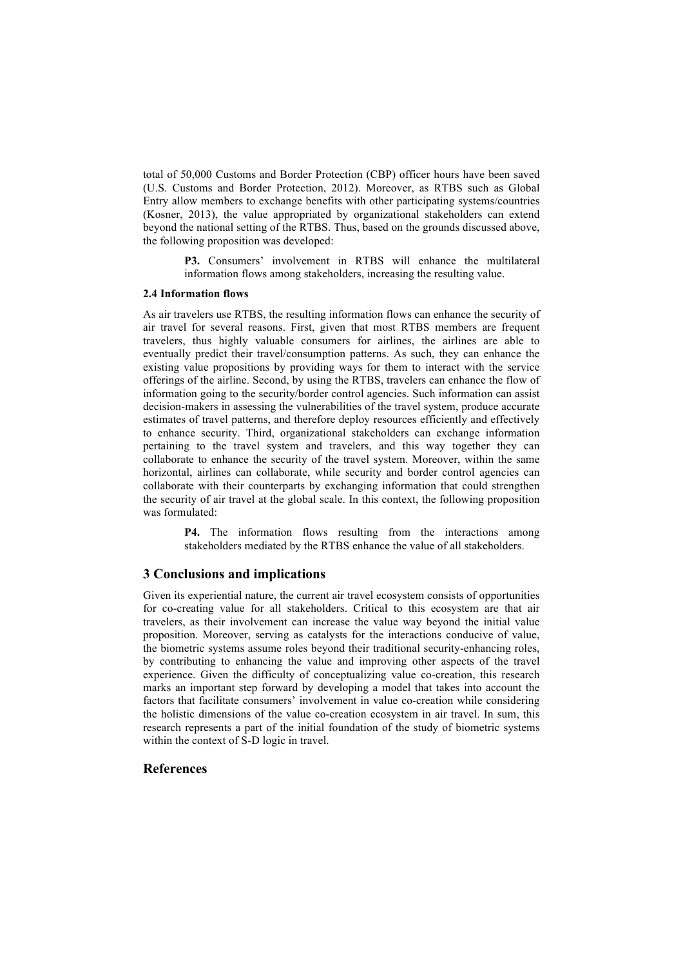total of 50,000 Customs and Border Protection (CBP) officer hours have been saved (U.S. Customs and Border Protection, 2012). Moreover, as RTBS such as Global Entry allow members to exchange benefits with other participating systems/countries (Kosner, 2013), the value appropriated by organizational stakeholders can extend beyond the national setting of the RTBS. Thus, based on the grounds discussed above, the following proposition was developed:

> **P3.** Consumers' involvement in RTBS will enhance the multilateral information flows among stakeholders, increasing the resulting value.

### **2.4 Information flows**

As air travelers use RTBS, the resulting information flows can enhance the security of air travel for several reasons. First, given that most RTBS members are frequent travelers, thus highly valuable consumers for airlines, the airlines are able to eventually predict their travel/consumption patterns. As such, they can enhance the existing value propositions by providing ways for them to interact with the service offerings of the airline. Second, by using the RTBS, travelers can enhance the flow of information going to the security/border control agencies. Such information can assist decision-makers in assessing the vulnerabilities of the travel system, produce accurate estimates of travel patterns, and therefore deploy resources efficiently and effectively to enhance security. Third, organizational stakeholders can exchange information pertaining to the travel system and travelers, and this way together they can collaborate to enhance the security of the travel system. Moreover, within the same horizontal, airlines can collaborate, while security and border control agencies can collaborate with their counterparts by exchanging information that could strengthen the security of air travel at the global scale. In this context, the following proposition was formulated:

> **P4.** The information flows resulting from the interactions among stakeholders mediated by the RTBS enhance the value of all stakeholders.

# **3 Conclusions and implications**

Given its experiential nature, the current air travel ecosystem consists of opportunities for co-creating value for all stakeholders. Critical to this ecosystem are that air travelers, as their involvement can increase the value way beyond the initial value proposition. Moreover, serving as catalysts for the interactions conducive of value, the biometric systems assume roles beyond their traditional security-enhancing roles, by contributing to enhancing the value and improving other aspects of the travel experience. Given the difficulty of conceptualizing value co-creation, this research marks an important step forward by developing a model that takes into account the factors that facilitate consumers' involvement in value co-creation while considering the holistic dimensions of the value co-creation ecosystem in air travel. In sum, this research represents a part of the initial foundation of the study of biometric systems within the context of S-D logic in travel.

# **References**